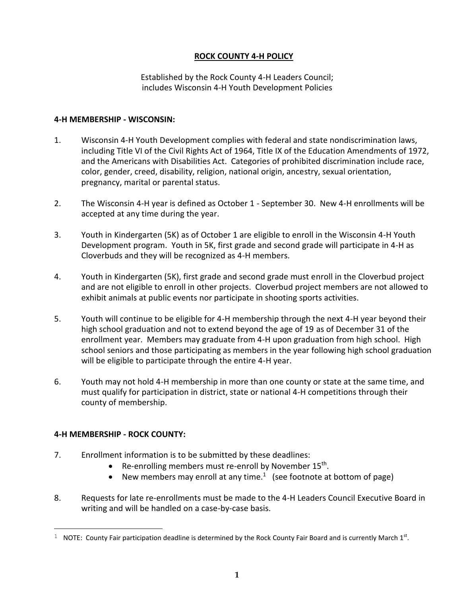### **ROCK COUNTY 4-H POLICY**

Established by the Rock County 4-H Leaders Council; includes Wisconsin 4-H Youth Development Policies

#### **4-H MEMBERSHIP - WISCONSIN:**

- 1. Wisconsin 4-H Youth Development complies with federal and state nondiscrimination laws, including Title VI of the Civil Rights Act of 1964, Title IX of the Education Amendments of 1972, and the Americans with Disabilities Act. Categories of prohibited discrimination include race, color, gender, creed, disability, religion, national origin, ancestry, sexual orientation, pregnancy, marital or parental status.
- 2. The Wisconsin 4-H year is defined as October 1 September 30. New 4-H enrollments will be accepted at any time during the year.
- 3. Youth in Kindergarten (5K) as of October 1 are eligible to enroll in the Wisconsin 4-H Youth Development program. Youth in 5K, first grade and second grade will participate in 4-H as Cloverbuds and they will be recognized as 4-H members.
- 4. Youth in Kindergarten (5K), first grade and second grade must enroll in the Cloverbud project and are not eligible to enroll in other projects. Cloverbud project members are not allowed to exhibit animals at public events nor participate in shooting sports activities.
- 5. Youth will continue to be eligible for 4-H membership through the next 4-H year beyond their high school graduation and not to extend beyond the age of 19 as of December 31 of the enrollment year. Members may graduate from 4-H upon graduation from high school. High school seniors and those participating as members in the year following high school graduation will be eligible to participate through the entire 4-H year.
- 6. Youth may not hold 4-H membership in more than one county or state at the same time, and must qualify for participation in district, state or national 4-H competitions through their county of membership.

### **4-H MEMBERSHIP - ROCK COUNTY:**

a<br>B

- 7. Enrollment information is to be submitted by these deadlines:
	- Re-enrolling members must re-enroll by November 15<sup>th</sup>.
	- New members may enroll at any time.<sup>1</sup> (see footnote at bottom of page)
- 8. Requests for late re-enrollments must be made to the 4-H Leaders Council Executive Board in writing and will be handled on a case-by-case basis.

<sup>&</sup>lt;sup>1</sup> NOTE: County Fair participation deadline is determined by the Rock County Fair Board and is currently March 1<sup>st</sup>.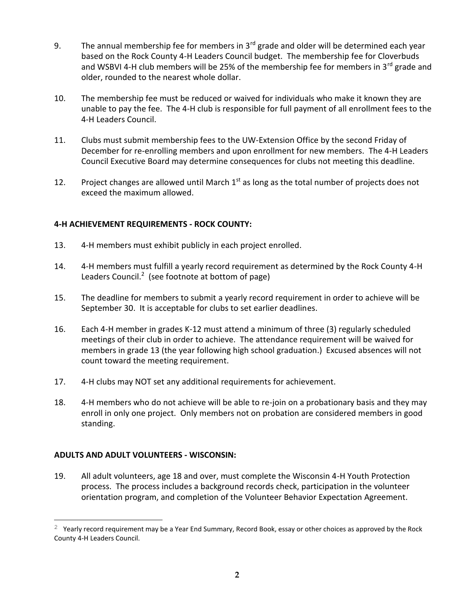- 9. The annual membership fee for members in  $3<sup>rd</sup>$  grade and older will be determined each year based on the Rock County 4-H Leaders Council budget. The membership fee for Cloverbuds and WSBVI 4-H club members will be 25% of the membership fee for members in 3<sup>rd</sup> grade and older, rounded to the nearest whole dollar.
- 10. The membership fee must be reduced or waived for individuals who make it known they are unable to pay the fee. The 4-H club is responsible for full payment of all enrollment fees to the 4-H Leaders Council.
- 11. Clubs must submit membership fees to the UW-Extension Office by the second Friday of December for re-enrolling members and upon enrollment for new members. The 4-H Leaders Council Executive Board may determine consequences for clubs not meeting this deadline.
- 12. Project changes are allowed until March  $1<sup>st</sup>$  as long as the total number of projects does not exceed the maximum allowed.

# **4-H ACHIEVEMENT REQUIREMENTS - ROCK COUNTY:**

- 13. 4-H members must exhibit publicly in each project enrolled.
- 14. 4-H members must fulfill a yearly record requirement as determined by the Rock County 4-H Leaders Council.<sup>2</sup> (see footnote at bottom of page)
- 15. The deadline for members to submit a yearly record requirement in order to achieve will be September 30. It is acceptable for clubs to set earlier deadlines.
- 16. Each 4-H member in grades K-12 must attend a minimum of three (3) regularly scheduled meetings of their club in order to achieve. The attendance requirement will be waived for members in grade 13 (the year following high school graduation.) Excused absences will not count toward the meeting requirement.
- 17. 4-H clubs may NOT set any additional requirements for achievement.
- 18. 4-H members who do not achieve will be able to re-join on a probationary basis and they may enroll in only one project. Only members not on probation are considered members in good standing.

### **ADULTS AND ADULT VOLUNTEERS - WISCONSIN:**

a<br>B

19. All adult volunteers, age 18 and over, must complete the Wisconsin 4-H Youth Protection process. The process includes a background records check, participation in the volunteer orientation program, and completion of the Volunteer Behavior Expectation Agreement.

 $2$  Yearly record requirement may be a Year End Summary, Record Book, essay or other choices as approved by the Rock County 4-H Leaders Council.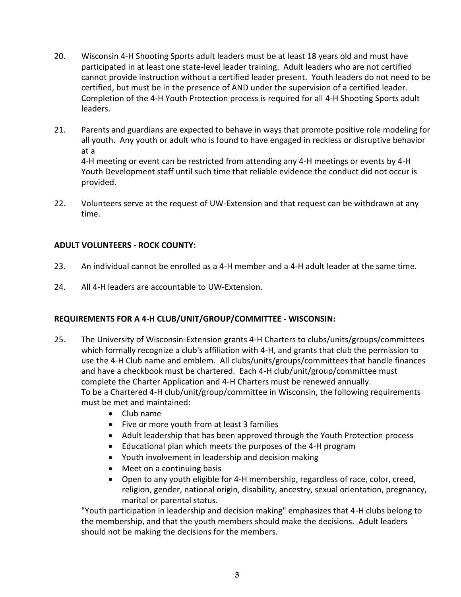- 20. Wisconsin 4-H Shooting Sports adult leaders must be at least 18 years old and must have participated in at least one state-level leader training. Adult leaders who are not certified cannot provide instruction without a certified leader present. Youth leaders do not need to be certified, but must be in the presence of AND under the supervision of a certified leader. Completion of the 4-H Youth Protection process is required for all 4-H Shooting Sports adult leaders.
- 21. Parents and guardians are expected to behave in ways that promote positive role modeling for all youth. Any youth or adult who is found to have engaged in reckless or disruptive behavior at a

4-H meeting or event can be restricted from attending any 4-H meetings or events by 4-H Youth Development staff until such time that reliable evidence the conduct did not occur is provided.

22. Volunteers serve at the request of UW-Extension and that request can be withdrawn at any time.

### **ADULT VOLUNTEERS - ROCK COUNTY:**

- 23. An individual cannot be enrolled as a 4-H member and a 4-H adult leader at the same time.
- 24. All 4-H leaders are accountable to UW-Extension.

# **REQUIREMENTS FOR A 4-H CLUB/UNIT/GROUP/COMMITTEE - WISCONSIN:**

- 25. The University of Wisconsin-Extension grants 4-H Charters to clubs/units/groups/committees which formally recognize a club's affiliation with 4-H, and grants that club the permission to use the 4-H Club name and emblem. All clubs/units/groups/committees that handle finances and have a checkbook must be chartered. Each 4-H club/unit/group/committee must complete the Charter Application and 4-H Charters must be renewed annually. To be a Chartered 4-H club/unit/group/committee in Wisconsin, the following requirements must be met and maintained:
	- Club name
	- Five or more youth from at least 3 families
	- Adult leadership that has been approved through the Youth Protection process
	- Educational plan which meets the purposes of the 4-H program
	- Youth involvement in leadership and decision making
	- Meet on a continuing basis
	- Open to any youth eligible for 4-H membership, regardless of race, color, creed, religion, gender, national origin, disability, ancestry, sexual orientation, pregnancy, marital or parental status.

"Youth participation in leadership and decision making" emphasizes that 4-H clubs belong to the membership, and that the youth members should make the decisions. Adult leaders should not be making the decisions for the members.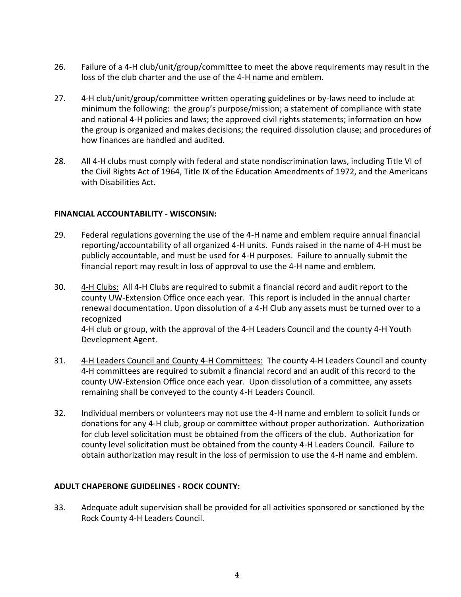- 26. Failure of a 4-H club/unit/group/committee to meet the above requirements may result in the loss of the club charter and the use of the 4-H name and emblem.
- 27. 4-H club/unit/group/committee written operating guidelines or by-laws need to include at minimum the following: the group's purpose/mission; a statement of compliance with state and national 4-H policies and laws; the approved civil rights statements; information on how the group is organized and makes decisions; the required dissolution clause; and procedures of how finances are handled and audited.
- 28. All 4-H clubs must comply with federal and state nondiscrimination laws, including Title VI of the Civil Rights Act of 1964, Title IX of the Education Amendments of 1972, and the Americans with Disabilities Act.

### **FINANCIAL ACCOUNTABILITY - WISCONSIN:**

- 29. Federal regulations governing the use of the 4-H name and emblem require annual financial reporting/accountability of all organized 4-H units. Funds raised in the name of 4-H must be publicly accountable, and must be used for 4-H purposes. Failure to annually submit the financial report may result in loss of approval to use the 4-H name and emblem.
- 30. 4-H Clubs: All 4-H Clubs are required to submit a financial record and audit report to the county UW-Extension Office once each year. This report is included in the annual charter renewal documentation. Upon dissolution of a 4-H Club any assets must be turned over to a recognized 4-H club or group, with the approval of the 4-H Leaders Council and the county 4-H Youth Development Agent.
- 31. 4-H Leaders Council and County 4-H Committees: The county 4-H Leaders Council and county 4-H committees are required to submit a financial record and an audit of this record to the county UW-Extension Office once each year. Upon dissolution of a committee, any assets remaining shall be conveyed to the county 4-H Leaders Council.
- 32. Individual members or volunteers may not use the 4-H name and emblem to solicit funds or donations for any 4-H club, group or committee without proper authorization. Authorization for club level solicitation must be obtained from the officers of the club. Authorization for county level solicitation must be obtained from the county 4-H Leaders Council. Failure to obtain authorization may result in the loss of permission to use the 4-H name and emblem.

### **ADULT CHAPERONE GUIDELINES - ROCK COUNTY:**

33. Adequate adult supervision shall be provided for all activities sponsored or sanctioned by the Rock County 4-H Leaders Council.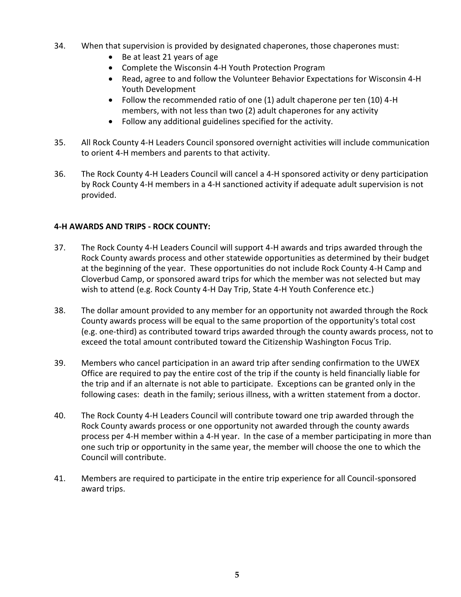- 34. When that supervision is provided by designated chaperones, those chaperones must:
	- Be at least 21 years of age
	- Complete the Wisconsin 4-H Youth Protection Program
	- Read, agree to and follow the Volunteer Behavior Expectations for Wisconsin 4-H Youth Development
	- Follow the recommended ratio of one (1) adult chaperone per ten (10) 4-H members, with not less than two (2) adult chaperones for any activity
	- Follow any additional guidelines specified for the activity.
- 35. All Rock County 4-H Leaders Council sponsored overnight activities will include communication to orient 4-H members and parents to that activity.
- 36. The Rock County 4-H Leaders Council will cancel a 4-H sponsored activity or deny participation by Rock County 4-H members in a 4-H sanctioned activity if adequate adult supervision is not provided.

# **4-H AWARDS AND TRIPS - ROCK COUNTY:**

- 37. The Rock County 4-H Leaders Council will support 4-H awards and trips awarded through the Rock County awards process and other statewide opportunities as determined by their budget at the beginning of the year. These opportunities do not include Rock County 4-H Camp and Cloverbud Camp, or sponsored award trips for which the member was not selected but may wish to attend (e.g. Rock County 4-H Day Trip, State 4-H Youth Conference etc.)
- 38. The dollar amount provided to any member for an opportunity not awarded through the Rock County awards process will be equal to the same proportion of the opportunity's total cost (e.g. one-third) as contributed toward trips awarded through the county awards process, not to exceed the total amount contributed toward the Citizenship Washington Focus Trip.
- 39. Members who cancel participation in an award trip after sending confirmation to the UWEX Office are required to pay the entire cost of the trip if the county is held financially liable for the trip and if an alternate is not able to participate. Exceptions can be granted only in the following cases: death in the family; serious illness, with a written statement from a doctor.
- 40. The Rock County 4-H Leaders Council will contribute toward one trip awarded through the Rock County awards process or one opportunity not awarded through the county awards process per 4-H member within a 4-H year. In the case of a member participating in more than one such trip or opportunity in the same year, the member will choose the one to which the Council will contribute.
- 41. Members are required to participate in the entire trip experience for all Council-sponsored award trips.